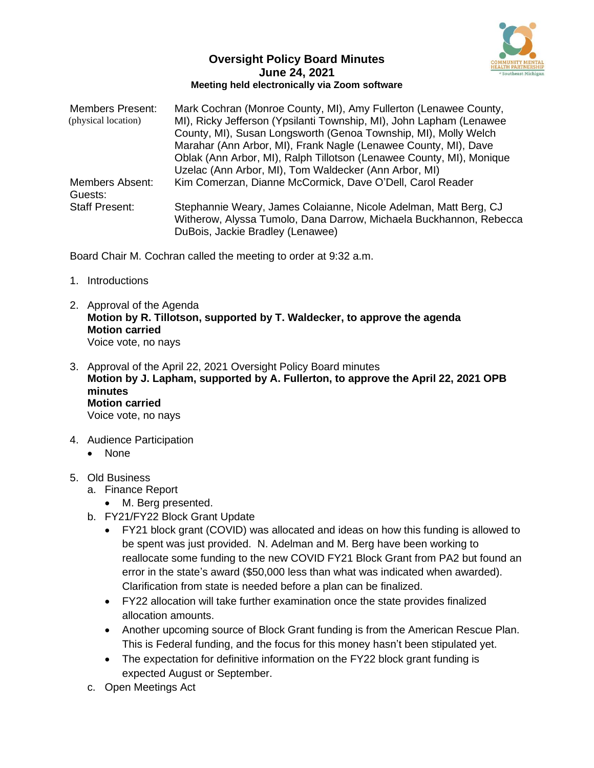

## **Oversight Policy Board Minutes June 24, 2021 Meeting held electronically via Zoom software**

| <b>Members Present:</b><br>(physical location) | Mark Cochran (Monroe County, MI), Amy Fullerton (Lenawee County,<br>MI), Ricky Jefferson (Ypsilanti Township, MI), John Lapham (Lenawee)<br>County, MI), Susan Longsworth (Genoa Township, MI), Molly Welch<br>Marahar (Ann Arbor, MI), Frank Nagle (Lenawee County, MI), Dave<br>Oblak (Ann Arbor, MI), Ralph Tillotson (Lenawee County, MI), Monique<br>Uzelac (Ann Arbor, MI), Tom Waldecker (Ann Arbor, MI) |
|------------------------------------------------|-----------------------------------------------------------------------------------------------------------------------------------------------------------------------------------------------------------------------------------------------------------------------------------------------------------------------------------------------------------------------------------------------------------------|
| <b>Members Absent:</b><br>Guests:              | Kim Comerzan, Dianne McCormick, Dave O'Dell, Carol Reader                                                                                                                                                                                                                                                                                                                                                       |
| <b>Staff Present:</b>                          | Stephannie Weary, James Colaianne, Nicole Adelman, Matt Berg, CJ<br>Witherow, Alyssa Tumolo, Dana Darrow, Michaela Buckhannon, Rebecca<br>DuBois, Jackie Bradley (Lenawee)                                                                                                                                                                                                                                      |

Board Chair M. Cochran called the meeting to order at 9:32 a.m.

- 1. Introductions
- 2. Approval of the Agenda **Motion by R. Tillotson, supported by T. Waldecker, to approve the agenda Motion carried** Voice vote, no nays
- 3. Approval of the April 22, 2021 Oversight Policy Board minutes **Motion by J. Lapham, supported by A. Fullerton, to approve the April 22, 2021 OPB minutes Motion carried** Voice vote, no nays
- 4. Audience Participation
	- None
- 5. Old Business
	- a. Finance Report
		- M. Berg presented.
	- b. FY21/FY22 Block Grant Update
		- FY21 block grant (COVID) was allocated and ideas on how this funding is allowed to be spent was just provided. N. Adelman and M. Berg have been working to reallocate some funding to the new COVID FY21 Block Grant from PA2 but found an error in the state's award (\$50,000 less than what was indicated when awarded). Clarification from state is needed before a plan can be finalized.
		- FY22 allocation will take further examination once the state provides finalized allocation amounts.
		- Another upcoming source of Block Grant funding is from the American Rescue Plan. This is Federal funding, and the focus for this money hasn't been stipulated yet.
		- The expectation for definitive information on the FY22 block grant funding is expected August or September.
	- c. Open Meetings Act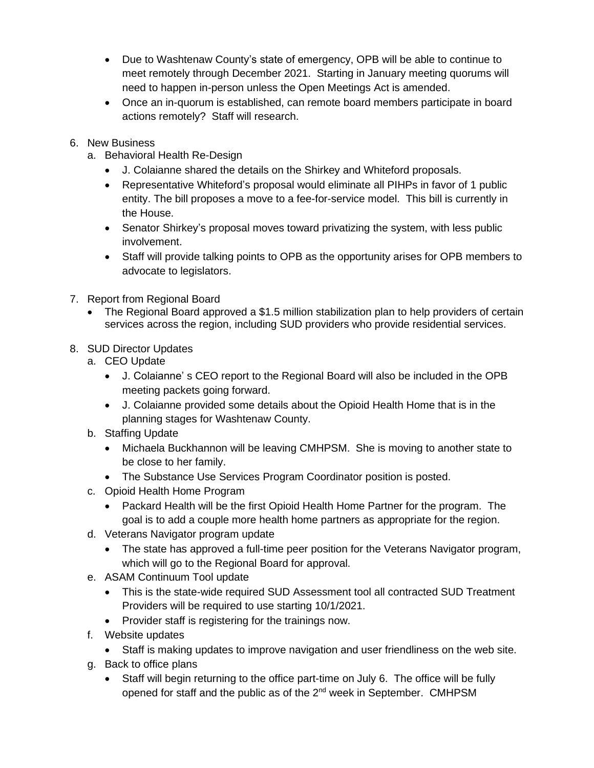- Due to Washtenaw County's state of emergency, OPB will be able to continue to meet remotely through December 2021. Starting in January meeting quorums will need to happen in-person unless the Open Meetings Act is amended.
- Once an in-quorum is established, can remote board members participate in board actions remotely? Staff will research.
- 6. New Business
	- a. Behavioral Health Re-Design
		- J. Colaianne shared the details on the Shirkey and Whiteford proposals.
		- Representative Whiteford's proposal would eliminate all PIHPs in favor of 1 public entity. The bill proposes a move to a fee-for-service model. This bill is currently in the House.
		- Senator Shirkey's proposal moves toward privatizing the system, with less public involvement.
		- Staff will provide talking points to OPB as the opportunity arises for OPB members to advocate to legislators.
- 7. Report from Regional Board
	- The Regional Board approved a \$1.5 million stabilization plan to help providers of certain services across the region, including SUD providers who provide residential services.
- 8. SUD Director Updates
	- a. CEO Update
		- J. Colaianne' s CEO report to the Regional Board will also be included in the OPB meeting packets going forward.
		- J. Colaianne provided some details about the Opioid Health Home that is in the planning stages for Washtenaw County.
	- b. Staffing Update
		- Michaela Buckhannon will be leaving CMHPSM. She is moving to another state to be close to her family.
		- The Substance Use Services Program Coordinator position is posted.
	- c. Opioid Health Home Program
		- Packard Health will be the first Opioid Health Home Partner for the program. The goal is to add a couple more health home partners as appropriate for the region.
	- d. Veterans Navigator program update
		- The state has approved a full-time peer position for the Veterans Navigator program, which will go to the Regional Board for approval.
	- e. ASAM Continuum Tool update
		- This is the state-wide required SUD Assessment tool all contracted SUD Treatment Providers will be required to use starting 10/1/2021.
		- Provider staff is registering for the trainings now.
	- f. Website updates
		- Staff is making updates to improve navigation and user friendliness on the web site.
	- g. Back to office plans
		- Staff will begin returning to the office part-time on July 6. The office will be fully opened for staff and the public as of the 2<sup>nd</sup> week in September. CMHPSM